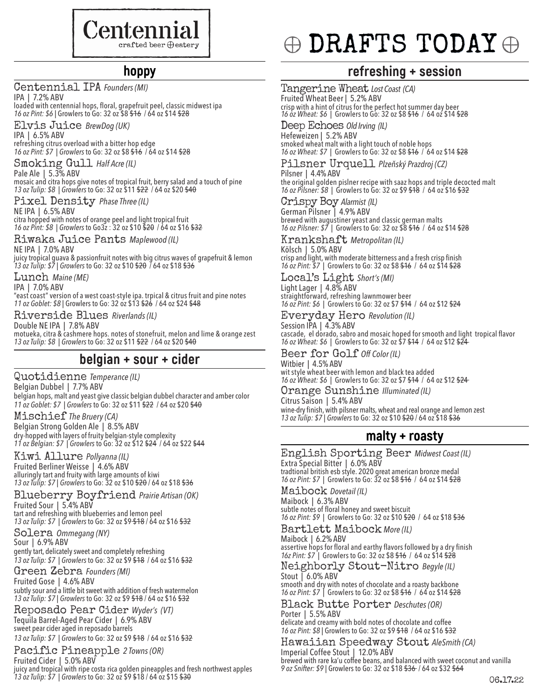

### **hoppy**

Centennial IPA *Founders (MI)*

IPA | 7.2% ABV loaded with centennial hops, floral, grapefruit peel, classic midwest ipa *16 oz Pint: \$6 |* Growlers to Go: 32 oz \$8 \$16 / 64 oz \$14 \$28

Elvis Juice *BrewDog (UK)* 

IPA | 6.5% ABV refreshing citrus overload with a bitter hop edge *16 oz Pint: \$7 | Growlers* to Go: 32 oz \$8 \$16 / 64 oz \$14 \$28

Smoking Gull *Half Acre (IL)* Pale Ale | 5.3% ABV

mosaic and citra hops give notes of tropical fruit, berry salad and a touch of pine *13 oz Tulip: \$8 | Growlers* to Go: 32 oz \$11 \$22 / 64 oz \$20 \$40

Pixel Density *Phase Three (IL)* NE IPA | 6.5% ABV

citra hopped with notes of orange peel and light tropical fruit *16 oz Pint: \$8 | Growlers* to Go3z : 32 oz \$10 \$20 / 64 oz \$16 \$32

Riwaka Juice Pants *Maplewood (IL)* NE IPA | 7.0% ABV

juicy tropical guava & passionfruit notes with big citrus waves of grapefruit & lemon *13 oz Tulip: \$7 | Growlers* to Go: 32 oz \$10 \$20 / 64 oz \$18 \$36

Lunch *Maine (ME)* IPA | 7.0% ABV

"east coast" version of a west coast-style ipa. trpical & citrus fruit and pine notes *11 oz Goblet: \$8 |* Growlers to Go: 32 oz \$13 \$26 / 64 oz \$24 \$48

Riverside Blues *Riverlands (IL)* 

Double NE IPA | 7.8% ABV motueka, citra & cashmere hops. notes of stonefruit, melon and lime & orange zest *13 oz Tulip: \$8 | Growlers* to Go: 32 oz \$11 \$22 / 64 oz \$20 \$40

### **belgian + sour + cider**

Quotidienne *Temperance (IL)* Belgian Dubbel | 7.7% ABV belgian hops, malt and yeast give classic belgian dubbel character and amber color *11 oz Goblet: \$7 | Growlers* to Go: 32 oz \$11 \$22 / 64 oz \$20 \$40

Mischief *The Bruery (CA)* Belgian Strong Golden Ale | 8.5% ABV dry-hopped with layers of fruity belgian-style complexity *11 oz Belgian: \$7 | Growlers* to Go: 32 oz \$12 \$24 / 64 oz \$22 \$44

Kiwi Allure *Pollyanna (IL)* Fruited Berliner Weisse | 4.6% ABV alluringly tart and fruity with large amounts of kiwi *13 oz Tulip: \$7 | Growlers* to Go: 32 oz \$10 \$20 / 64 oz \$18 \$36

Blueberry Boyfriend *Prairie Artisan (OK)* Fruited Sour | 5.4% ABV

tart and refreshing with blueberries and lemon peel *13 oz Tulip: \$7 | Growlers* to Go: 32 oz \$9 \$18 / 64 oz \$16 \$32

Solera *Ommegang (NY)*  Sour | 6.9% ABV gently tart, delicately sweet and completely refreshing *13 oz Tulip: \$7 | Growlers* to Go: 32 oz \$9 \$18 / 64 oz \$16 \$32

Green Zebra *Founders (MI)* Fruited Gose | 4.6% ABV subtly sour and a little bit sweet with addition of fresh watermelon *13 oz Tulip: \$7 | Growlers* to Go: 32 oz \$9 \$18 / 64 oz \$16 \$32

Reposado Pear Cider *Wyder's (VT)* Tequila Barrel-Aged Pear Cider | 6.9% ABV sweet pear cider aged in reposado barrels

*13 oz Tulip: \$7 | Growlers* to Go: 32 oz \$9 \$18 / 64 oz \$16 \$32 Pacific Pineapple *2 Towns (OR)*

Fruited Cider | 5.0% ABV juicy and tropical with ripe costa rica golden pineapples and fresh northwest apples *13 oz Tulip: \$7 | Growlers* to Go: 32 oz \$9 \$18 / 64 oz \$15 \$30 06.17.22

# $\oplus$  DRAFTS TODAY  $\oplus$

### **refreshing + session**

Tangerine Wheat *Lost Coast (CA)* Fruited Wheat Beer | 5.2% ABV crisp with a hint of citrus for the perfect hot summer day beer *16 oz Wheat: \$6 |* Growlers to Go: 32 oz \$8 \$16 / 64 oz \$14 \$28

Deep Echoes *Old Irving (IL)* Hefeweizen | 5.2% ABV smoked wheat malt with a light touch of noble hops *16 oz Wheat: \$7 |* Growlers to Go: 32 oz \$8 \$16 / 64 oz \$14 \$28

Pilsner Urquell *Plzeňský Prazdroj (CZ)* Pilsner | 4.4% ABV

the original golden pislner recipe with saaz hops and triple decocted malt *16 oz Pilsner: \$8 |* Growlers to Go: 32 oz \$9 \$18 / 64 oz \$16 \$32

Crispy Boy *Alarmist (IL)* German Pilsner | 4.9% ABV brewed with augustiner yeast and classic german malts *16 oz Pilsner: \$7 |* Growlers to Go: 32 oz \$8 \$16 / 64 oz \$14 \$28

Krankshaft *Metropolitan (IL)* Kölsch | 5.0% ABV crisp and light, with moderate bitterness and a fresh crisp finish *16 oz Pint: \$7 |* Growlers to Go: 32 oz \$8 \$16 / 64 oz \$14 \$28

Local's Light *Short's (MI)* Light Lager | 4.8% ABV straightforward, refreshing lawnmower beer *16 oz Pint: \$6 |* Growlers to Go: 32 oz \$7 \$14 / 64 oz \$12 \$24

Everyday Hero *Revolution (IL)* Session IPA | 4.3% ABV cascade, el dorado, sabro and mosaic hoped for smooth and light tropical flavor *16 oz Wheat: \$6 |* Growlers to Go: 32 oz \$7 \$14 / 64 oz \$12 \$24

Beer for Golf *Off Color (IL)* Witbier | 4.5% ABV wit style wheat beer with lemon and black tea added *16 oz Wheat: \$6 |* Growlers to Go: 32 oz \$7 \$14 / 64 oz \$12 \$24

Orange Sunshine *Illuminated (IL)* Citrus Saison | 5.4% ABV wine-dry finish, with pilsner malts, wheat and real orange and lemon zest *13 oz Tulip: \$7 | Growlers* to Go: 32 oz \$10 \$20 / 64 oz \$18 \$36

### **malty + roasty**

English Sporting Beer *Midwest Coast (IL)*  Extra Special Bitter | 6.0% ABV tradtional british esb style. 2020 great american bronze medal *16 oz Pint: \$7 |* Growlers to Go: 32 oz \$8 \$16 / 64 oz \$14 \$28

Maibock *Dovetail (IL)*  Maibock | 6.3% ABV subtle notes of floral honey and sweet biscuit *16 oz Pint: \$9 |* Growlers to Go: 32 oz \$10 \$20 / 64 oz \$18 \$36

Bartlett Maibock *More (IL)* Maibock | 6.2% ABV assertive hops for floral and earthy flavors followed by a dry finish *16z Pint: \$7 |* Growlers to Go: 32 oz \$8 \$16 / 64 oz \$14 \$28

Neighborly Stout-Nitro *Begyle (IL)*  Stout | 6.0% ABV smooth and dry with notes of chocolate and a roasty backbone *16 oz Pint: \$7 |* Growlers to Go: 32 oz \$8 \$16 / 64 oz \$14 \$28

Black Butte Porter *Deschutes (OR)* Porter | 5.5% ABV delicate and creamy with bold notes of chocolate and coffee *16 oz Pint: \$8 |* Growlers to Go: 32 oz \$9 \$18 / 64 oz \$16 \$32

Hawaiian Speedway Stout *AleSmith (CA)* Imperial Coffee Stout | 12.0% ABV brewed with rare ka'u coffee beans, and balanced with sweet coconut and vanilla *9 oz Snifter: \$9 |* Growlers to Go: 32 oz \$18 \$36 / 64 oz \$32 \$64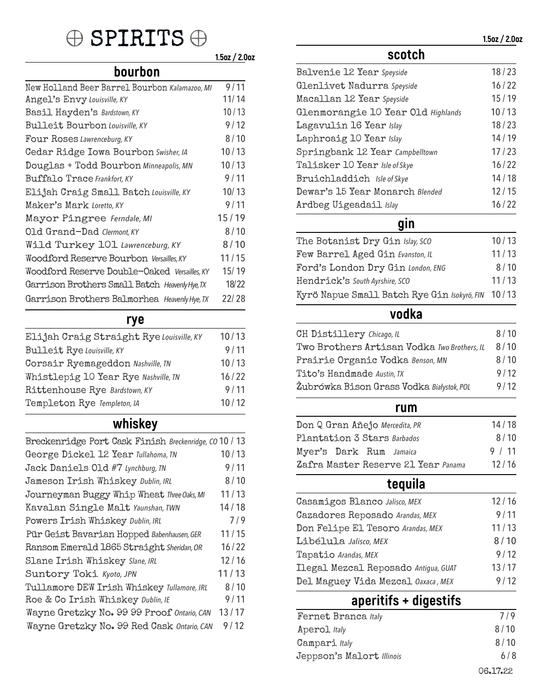## $\oplus$  SPIRITS  $\oplus$

 **1.5oz / 2.0oz scotch**

### **bourbon**

| New Holland Beer Barrel Bourbon Kalamazoo, MI  | 9/11  |
|------------------------------------------------|-------|
| Angel's Envy Louisville, KY                    | 11/14 |
| Basil Hayden's Bardstown, KY                   | 10/13 |
| <b>Bulleit Bourbon Louisville, KY</b>          | 9/12  |
| Four Roses Lawrenceburg, KY                    | 8/10  |
| Cedar Ridge Iowa Bourbon Swisher, IA           | 10/13 |
| Douglas + Todd Bourbon Minneapolis, MN         | 10/13 |
| Buffalo Trace Frankfort, KY                    | 9/11  |
| Elijah Craig Small Batch Louisville, KY        | 10/13 |
| Maker's Mark Loretto, KY                       | 9/11  |
| Mayor Pingree Ferndale, MI                     | 15/19 |
| Old Grand-Dad Clermont, KY                     | 8/10  |
| Wild Turkey 101 Lawrenceburg, KY               | 8/10  |
| Woodford Reserve Bourbon Versailles, KY        | 11/15 |
| Woodford Reserve Double-Oaked Versailles, KY   | 15/19 |
| Garrison Brothers Small Batch Heavenly Hye, TX | 18/22 |
| Garrison Brothers Balmorhea Heavenly Hye, TX   | 22/28 |
|                                                |       |

### **rye**

| Elijah Craig Straight Rye Louisville, KY | 10/13 |
|------------------------------------------|-------|
| <b>Bulleit Rye Louisville, KY</b>        | 9/11  |
| Corsair Ryemageddon Nashville, TN        | 10/13 |
| Whistlepig 10 Year Rye Nashville, TN     | 16/22 |
| Rittenhouse Rye Bardstown, KY            | 9/11  |
| Templeton Rye Templeton, IA              | 10/12 |
|                                          |       |

## **whiskey**

| Breckenridge Port Cask Finish Breckenridge, CO 10 / 13 |
|--------------------------------------------------------|
| 10/13                                                  |
| 9/11                                                   |
| 8/10                                                   |
| 11/13                                                  |
| 14/18                                                  |
| 7/9                                                    |
| 11/15                                                  |
| 16/22                                                  |
| 12/16                                                  |
| 11/13                                                  |
| 8/10                                                   |
| 9/11                                                   |
| 13/17                                                  |
| 9/12                                                   |
|                                                        |

| Balvenie 12 Year Speyside          | 18/23 |
|------------------------------------|-------|
| Glenlivet Nadurra Speyside         | 16/22 |
| Macallan 12 Year Speyside          | 15/19 |
| Glenmorangie 10 Year Old Highlands | 10/13 |
| Lagavulin 16 Year Islay            | 18/23 |
| Laphroaig 10 Year Islay            | 14/19 |
| Springbank 12 Year Campbelltown    | 17/23 |
| Talisker 10 Year Isle of Skye      | 16/22 |
| Bruichladdich Isle of Skye         | 14/18 |
| Dewar's 15 Year Monarch Blended    | 12/15 |
| Ardbeg Uigeadail Islay             | 16/22 |
|                                    |       |

## **gin**

| The Botanist Dry Gin Islay, SCO                   | 10/13 |
|---------------------------------------------------|-------|
| Few Barrel Aged Gin Evanston, IL                  | 11/13 |
| Ford's London Dry Gin London, ENG                 | 8/10  |
| Hendrick's South Ayrshire, SCO                    | 11/13 |
| Kyrö Napue Small Batch Rye Gin Isokyrö, FIN 10/13 |       |

## **vodka**

| <b>CH Distillery Chicago, IL</b>            | 8/10 |
|---------------------------------------------|------|
| Two Brothers Artisan Vodka Two Brothers, IL | 8/10 |
| Prairie Organic Vodka Benson, MN            | 8/10 |
| Tito's Handmade Austin, TX                  | 9/12 |
| Żubrówka Bison Grass Vodka Białystok, POL   | 9/12 |
|                                             |      |

### **rum**

| Don Q Gran Añejo Mercedita, PR      | 14/18  |
|-------------------------------------|--------|
| Plantation 3 Stars Barbados         | 8/10   |
| Myer's Dark Rum Jamaica             | 9 / 11 |
| Zafra Master Reserve 21 Year Panama | 12/16  |

## **tequila**

| Casamigos Blanco Jalisco, MEX        | 12/16 |
|--------------------------------------|-------|
| Cazadores Reposado Arandas, MEX      | 9/11  |
| Don Felipe El Tesoro Arandas, MEX    | 11/13 |
| Libélula Jalisco, MEX                | 8/10  |
| Tapatio Arandas, MEX                 | 9/12  |
| Ilegal Mezcal Reposado Antigua, GUAT | 13/17 |
| Del Maguey Vida Mezcal Oaxaca, MEX   | 9/12  |
|                                      |       |

## **aperitifs + digestifs**

| Fernet Branca Italy       | 7/9      |
|---------------------------|----------|
| Aperol Italy              | 8/10     |
| Campari Italy             | 8/10     |
| Jeppson's Malort Illinois | 6/8      |
|                           | 06.17.22 |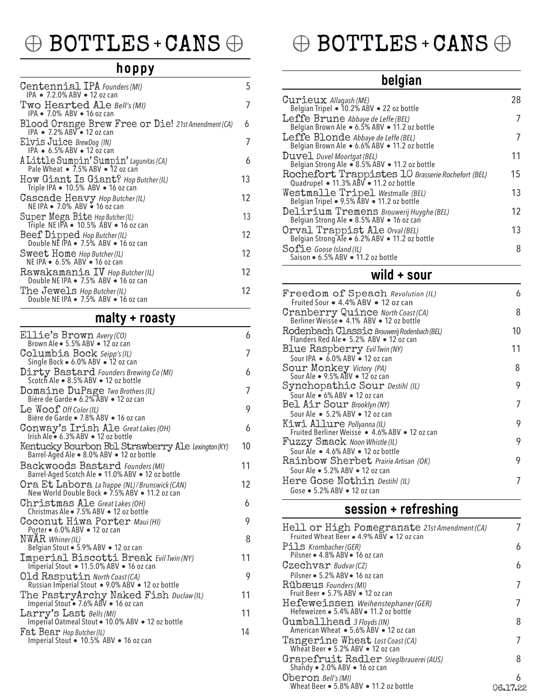## $\oplus$  BOTTLES + CANS  $\oplus$

### **hoppy**

| Centennial IPA Founders (MI)<br>IPA • 7.2.0% ABV • 12 oz can                              | 5   |
|-------------------------------------------------------------------------------------------|-----|
| Two Hearted Ale Bell's (MI)<br>IPA • 7.0% ABV • 16 oz can                                 | 7   |
| Blood Orange Brew Free or Die! 21st Amendment (CA)<br>IPA . 7.2% ABV . 12 oz can          | 6   |
| Elvis Juice BrewDog (IN)<br>IPA $\bullet$ 6.5% ABV $\bullet$ 12 oz can                    | 7   |
| A Little Sumpin' Sumpin' Lagunitas (CA)<br>Pale Wheat • 7.5% ABV • 12 oz can              | 6   |
| How Giant Is Giant? Hop Butcher (IL)<br>Triple IPA • 10.5% ABV • 16 oz can                | 13  |
| Cascade Heavy Hop Butcher (IL)<br>NE IPA • 7.0% ABV • 16 oz can                           | 12  |
| Super Mega Bite Hop Butcher (IL)<br>Triple NE IPA $\bullet$ 10.5% ABV $\bullet$ 16 oz can | 13  |
| Beef Dipped Hop Butcher (IL)<br>Double NE IPA • 7.5% ABV • 16 oz can                      | 12  |
| Sweet Home Hop Butcher (IL)<br>NE IPA . 6.5% ABV . 16 oz can                              | 12. |
| Rawakamania IV Hop Butcher (IL)<br>Double NE IPA • 7.5% ABV • 16 oz can                   | 12  |
| The Jewels Hop Butcher (IL)<br>Double NE IPA . 7.5% ABV . 16 oz can                       | 12. |

## **malty + roasty**

| Ellie's Brown Avery (CO)<br>Brown Ale • 5.5% ABV • 12 oz can                                    | 6  |
|-------------------------------------------------------------------------------------------------|----|
| Columbia Bock Seipp's (IL)                                                                      | 7  |
| Single Bock • 6.0% ABV • 12 oz can                                                              |    |
| Dirty Bastard Founders Brewing Co (MI)<br>Scotch Ale • 8.5% ABV • 12 oz bottle                  | 6  |
| Domaine DuPage Two Brothers (IL)<br>Bière de Garde · 6.2% ABV · 12 oz can                       | 7  |
| Le $Woof$ Off Color (IL)<br>Bière de Garde • 7.8% ABV • 16 oz can                               | 9  |
| Conway's Irish Ale Great Lakes (OH)<br>Irish Ale • 6.3% ABV • 12 oz bottle                      | 6  |
| Kentucky Bourbon Bbl Strawberry Ale Lexington (KY)<br>Barrel-Aged Ale • 8.0% ABV • 12 oz bottle | 10 |
| Backwoods Bastard Founders (MI)<br>Barrel-Aged Scotch Ale . 11.0% ABV . 12 oz bottle            | 11 |
| Ora Et Labora La Trappe (NL)/Brunswick (CAN)<br>New World Double Bock . 7.5% ABV . 11.2 oz can  | 12 |
| Christmas Ale Great Lakes (OH)<br>Christmas Ale . 7.5% ABV . 12 oz bottle                       | 6  |
| Coconut Hiwa Porter Maui(HI)<br>Porter . 6.0% ABV . 12 oz can                                   | 9  |
| NWAR Whiner(IL)<br>Belgian Stout • 5.9% ABV • 12 oz can                                         | 8  |
| Imperial Biscotti Break Evil Twin (NY)<br>Imperial Stout • 11.5.0% ABV • 16 oz can              | 11 |
| Old Rasputin North Coast (CA)<br>Russian Imperial Stout • 9.0% ABV • 12 oz bottle               | 9  |
| The PastryArchy Naked Fish Duclaw (IL)<br>Imperial Stout • 7.6% ABV • 16 oz can                 | 11 |
| Larry's Last Bells (MI)<br>Imperial Oatmeal Stout . 10.0% ABV . 12 oz bottle                    | 11 |
| Fat Bear Hop Butcher (IL)<br>Imperial Stout • 10.5% ABV • 16 oz can                             | 14 |

## $\oplus$  BOTTLES + CANS  $\oplus$

## **belgian**

| Curieux <i>Allagash (ME)</i><br>Belgian Tripel • 10.2% ABV • 22 oz bottle                   | 28 |
|---------------------------------------------------------------------------------------------|----|
| Leffe Brune Abbaye de Leffe (BEL)<br>Belgian Brown Ale • 6.5% ABV • 11.2 oz bottle          | 7  |
| Leffe Blonde Abbaye de Leffe (BEL)<br>Belgian Brown Ale • 6.6% ABV • 11.2 oz bottle         | 7  |
| Duvel Duvel Moortgat (BEL)<br>Belgian Strong Ale • 8.5% ÁBV • 11.2 oz bottle                | 11 |
| Rochefort Trappistes 10 Brasserie Rochefort (BEL)<br>Quadrupel • 11.3% ABV • 11.2 oz bottle | 15 |
| Westmalle Tripel Westmalle (BEL)<br>Belgian Tripel • 9.5% ABV • 11.2 oz bottle              | 13 |
| Delirium Tremens Brouwerij Huyghe (BEL)<br>Belgian Strong Ale . 8.5% ABV . 16 oz can        | 12 |
| Orval Trappist Ale Orval (BEL)<br>Belgian Strong Ale • 6.2% ABV • 11.2 oz bottle            | 13 |
| Sofie Goose Island (IL)<br>Saison . 6.5% ABV . 11.2 oz bottle                               | 8  |
|                                                                                             |    |

### **wild + sour**

| Freedom of Speach Revolution (IL)<br>Fruited Sour ● 4.4% ABV ● 12 oz can       | 6  |
|--------------------------------------------------------------------------------|----|
|                                                                                | 8  |
| Cranberry Quince North Coast (CA)<br>Berliner Weisse • 4.1% ABV • 12 oz bottle |    |
| Rodenbach Classic Brouwerij Rodenbach (BEL)                                    | 10 |
| Flanders Red Ale . 5.2% ABV . 12 oz can                                        |    |
| <b>Blue Raspberry Evil Twin (NY)</b>                                           | 11 |
| Sour IPA . 6.0% ABV . 12 oz can                                                |    |
| Sour Monkey Victory (PA)<br>Sour Ale • 9.5% ABV • 12 oz can                    | 8  |
|                                                                                |    |
| Synchopathic Sour Destihl (IL)                                                 | 9  |
| Sour Ale . 6% ABV . 12 oz can                                                  |    |
| Bel Air Sour Brooklyn (NY)                                                     | 7  |
| Sour Ale • 5.2% ABV • 12 oz can                                                |    |
| Kiwi Allure Pollyanna (IL)                                                     | 9  |
| Fruited Berliner Weisse • 4.6% ABV • 12 oz can                                 |    |
| Fuzzy Smack Noon Whistle (IL)                                                  | 9  |
| Sour Ale • 4.6% ABV • 12 oz bottle                                             |    |
| Rainbow Sherbet Prairie Artisan (OK)                                           | 9  |
| Sour Ale • 5.2% ABV • 12 oz can                                                |    |
| Here Gose Nothin Destihl (IL)                                                  | 7  |
| Gose . 5.2% ABV . 12 oz can                                                    |    |
|                                                                                |    |

## **session + refreshing**

| Hell or High Pomegranate 21st Amendment (CA)<br>Fruited Wheat Beer . 4.9% ABV . 12 oz can   |          |
|---------------------------------------------------------------------------------------------|----------|
| Pils Krombacher (GER)<br>Pilsner • 4.8% ABV • 16 oz can                                     | 6        |
| $Czechvar$ Budvar (CZ)                                                                      | 6        |
| Pilsner • 5.2% ABV • 16 oz can<br>Rübæus Founders (MI)<br>Fruit Beer • 5.7% ABV • 12 oz can |          |
| Hefeweissen Weihenstephaner (GER)<br>Hefeweizen · 5.4% ABV · 11.2 oz bottle                 |          |
| Gumballhead 3 Floyds (IN)<br>American Wheat • 5.6% ABV • 12 oz can                          | 8        |
| Tangerine Wheat Lost Coast (CA)<br>Wheat Beer • 5.2% ABV • 12 oz can                        |          |
| Grapefruit Radler Stieglbrauerei (AUS)<br>Shandy • 2.0% ABV • 16 oz can                     | 8        |
| Oberon Bell's (MI)<br>Wheat Beer • 5.8% ABV • 11.2 oz bottle                                | 06.17.22 |